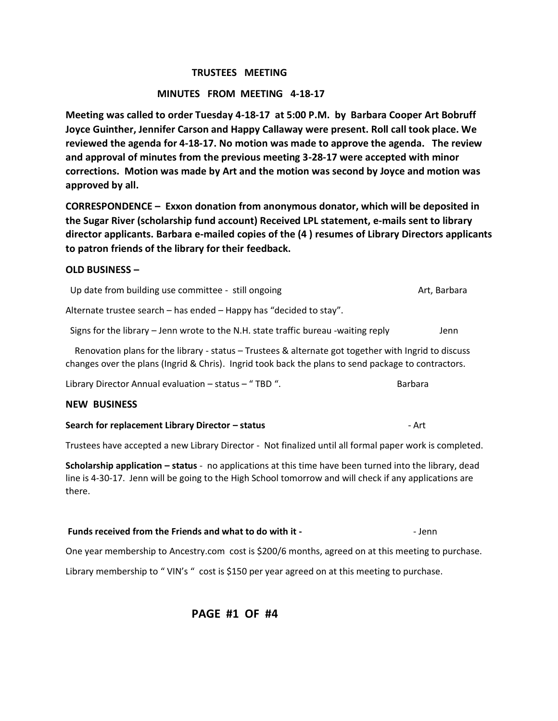### **TRUSTEES MEETING**

## **MINUTES FROM MEETING 4-18-17**

**Meeting was called to order Tuesday 4-18-17 at 5:00 P.M. by Barbara Cooper Art Bobruff Joyce Guinther, Jennifer Carson and Happy Callaway were present. Roll call took place. We reviewed the agenda for 4-18-17. No motion was made to approve the agenda. The review and approval of minutes from the previous meeting 3-28-17 were accepted with minor corrections. Motion was made by Art and the motion was second by Joyce and motion was approved by all.** 

**CORRESPONDENCE – Exxon donation from anonymous donator, which will be deposited in the Sugar River (scholarship fund account) Received LPL statement, e-mails sent to library director applicants. Barbara e-mailed copies of the (4 ) resumes of Library Directors applicants to patron friends of the library for their feedback.**

#### **OLD BUSINESS –**

| Search for replacement Library Director - status                                                                                                                                                            | - Art          |  |
|-------------------------------------------------------------------------------------------------------------------------------------------------------------------------------------------------------------|----------------|--|
| <b>NEW BUSINESS</b>                                                                                                                                                                                         |                |  |
| Library Director Annual evaluation - status - "TBD".                                                                                                                                                        | <b>Barbara</b> |  |
| Renovation plans for the library - status - Trustees & alternate got together with Ingrid to discuss<br>changes over the plans (Ingrid & Chris). Ingrid took back the plans to send package to contractors. |                |  |
| Signs for the library – Jenn wrote to the N.H. state traffic bureau -waiting reply                                                                                                                          | Jenn           |  |
| Alternate trustee search - has ended - Happy has "decided to stay".                                                                                                                                         |                |  |
| Up date from building use committee - still ongoing                                                                                                                                                         | Art, Barbara   |  |

Trustees have accepted a new Library Director - Not finalized until all formal paper work is completed.

**Scholarship application – status** - no applications at this time have been turned into the library, dead line is 4-30-17. Jenn will be going to the High School tomorrow and will check if any applications are there.

**Funds received from the Friends and what to do with it -**  $\blacksquare$  - Jenn

One year membership to Ancestry.com cost is \$200/6 months, agreed on at this meeting to purchase.

Library membership to " VIN's " cost is \$150 per year agreed on at this meeting to purchase.

 **PAGE #1 OF #4**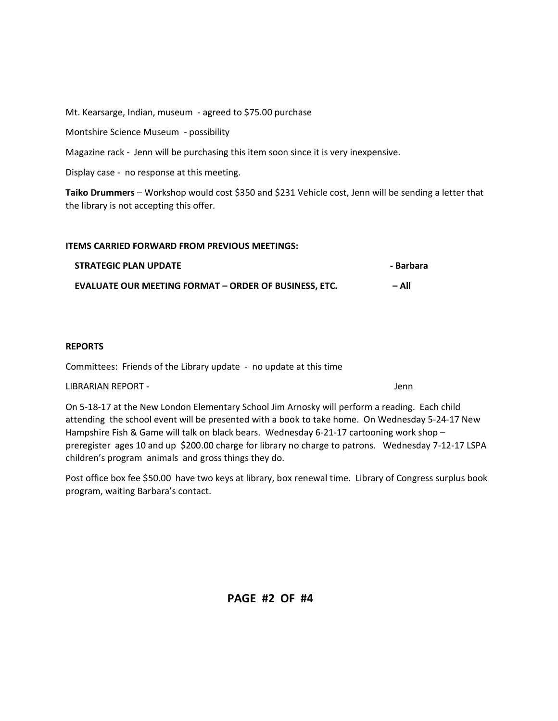Mt. Kearsarge, Indian, museum - agreed to \$75.00 purchase

Montshire Science Museum - possibility

Magazine rack - Jenn will be purchasing this item soon since it is very inexpensive.

Display case - no response at this meeting.

**Taiko Drummers** – Workshop would cost \$350 and \$231 Vehicle cost, Jenn will be sending a letter that the library is not accepting this offer.

#### **ITEMS CARRIED FORWARD FROM PREVIOUS MEETINGS:**

| <b>STRATEGIC PLAN UPDATE</b>                                 | - Barbara |
|--------------------------------------------------------------|-----------|
| <b>EVALUATE OUR MEETING FORMAT – ORDER OF BUSINESS. ETC.</b> | – All     |

#### **REPORTS**

Committees: Friends of the Library update - no update at this time

LIBRARIAN REPORT - Jenn

On 5-18-17 at the New London Elementary School Jim Arnosky will perform a reading. Each child attending the school event will be presented with a book to take home. On Wednesday 5-24-17 New Hampshire Fish & Game will talk on black bears. Wednesday 6-21-17 cartooning work shop – preregister ages 10 and up \$200.00 charge for library no charge to patrons. Wednesday 7-12-17 LSPA children's program animals and gross things they do.

Post office box fee \$50.00 have two keys at library, box renewal time. Library of Congress surplus book program, waiting Barbara's contact.

 **PAGE #2 OF #4**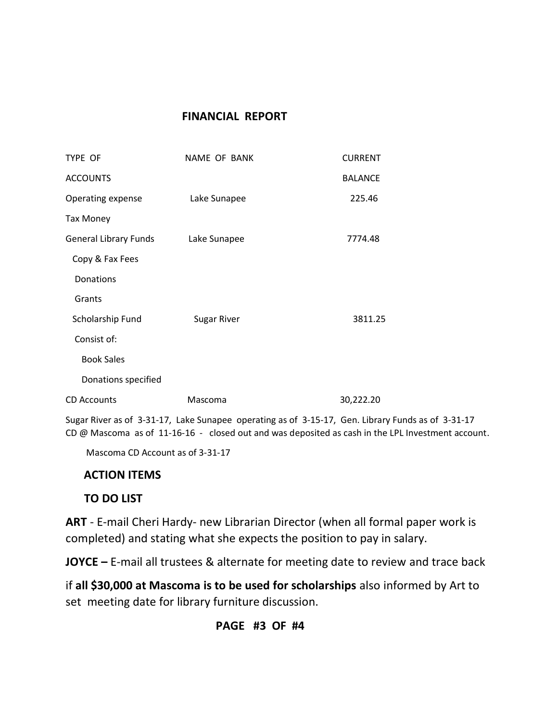# **FINANCIAL REPORT**

| TYPE OF                      | <b>NAME OF BANK</b> | <b>CURRENT</b> |
|------------------------------|---------------------|----------------|
| <b>ACCOUNTS</b>              |                     | <b>BALANCE</b> |
| Operating expense            | Lake Sunapee        | 225.46         |
| <b>Tax Money</b>             |                     |                |
| <b>General Library Funds</b> | Lake Sunapee        | 7774.48        |
| Copy & Fax Fees              |                     |                |
| Donations                    |                     |                |
| Grants                       |                     |                |
| Scholarship Fund             | <b>Sugar River</b>  | 3811.25        |
| Consist of:                  |                     |                |
| <b>Book Sales</b>            |                     |                |
| Donations specified          |                     |                |
| <b>CD Accounts</b>           | Mascoma             | 30,222.20      |

Sugar River as of 3-31-17, Lake Sunapee operating as of 3-15-17, Gen. Library Funds as of 3-31-17 CD @ Mascoma as of 11-16-16 - closed out and was deposited as cash in the LPL Investment account.

Mascoma CD Account as of 3-31-17

# **ACTION ITEMS**

# **TO DO LIST**

**ART** - E-mail Cheri Hardy- new Librarian Director (when all formal paper work is completed) and stating what she expects the position to pay in salary.

**JOYCE –** E-mail all trustees & alternate for meeting date to review and trace back

if **all \$30,000 at Mascoma is to be used for scholarships** also informed by Art to set meeting date for library furniture discussion.

# **PAGE #3 OF #4**